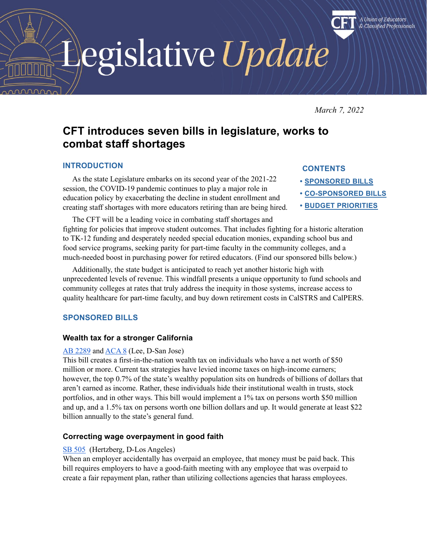egislative Update

*March 7, 2022*

A Union of Educators & Classified Professionals

# **CFT introduces seven bills in legislature, works to combat staff shortages**

# **INTRODUCTION**

As the state Legislature embarks on its second year of the 2021-22 session, the COVID-19 pandemic continues to play a major role in education policy by exacerbating the decline in student enrollment and creating staff shortages with more educators retiring than are being hired.

# **CONTENTS**

- **• [SPONSORED BILLS](#page-0-0)**
- **• [CO-SPONSORED BILLS](#page-1-0)**
- **• [BUDGET PRIORITIES](#page-3-0)**

The CFT will be a leading voice in combating staff shortages and fighting for policies that improve student outcomes. That includes fighting for a historic alteration to TK-12 funding and desperately needed special education monies, expanding school bus and food service programs, seeking parity for part-time faculty in the community colleges, and a much-needed boost in purchasing power for retired educators. (Find our sponsored bills below.)

Additionally, the state budget is anticipated to reach yet another historic high with unprecedented levels of revenue. This windfall presents a unique opportunity to fund schools and community colleges at rates that truly address the inequity in those systems, increase access to quality healthcare for part-time faculty, and buy down retirement costs in CalSTRS and CalPERS.

# <span id="page-0-0"></span>**SPONSORED BILLS**

# **Wealth tax for a stronger California**

## [AB 2289](https://leginfo.legislature.ca.gov/faces/billNavClient.xhtml?bill_id=202120220AB2289) and [ACA 8](https://leginfo.legislature.ca.gov/faces/billNavClient.xhtml?bill_id=202120220ACA8) (Lee, D-San Jose)

This bill creates a first-in-the-nation wealth tax on individuals who have a net worth of \$50 million or more. Current tax strategies have levied income taxes on high-income earners; however, the top 0.7% of the state's wealthy population sits on hundreds of billions of dollars that aren't earned as income. Rather, these individuals hide their institutional wealth in trusts, stock portfolios, and in other ways. This bill would implement a 1% tax on persons worth \$50 million and up, and a 1.5% tax on persons worth one billion dollars and up. It would generate at least \$22 billion annually to the state's general fund.

# **Correcting wage overpayment in good faith**

# [SB 505](https://leginfo.legislature.ca.gov/faces/billNavClient.xhtml?bill_id=202120220SB505) (Hertzberg, D-Los Angeles)

When an employer accidentally has overpaid an employee, that money must be paid back. This bill requires employers to have a good-faith meeting with any employee that was overpaid to create a fair repayment plan, rather than utilizing collections agencies that harass employees.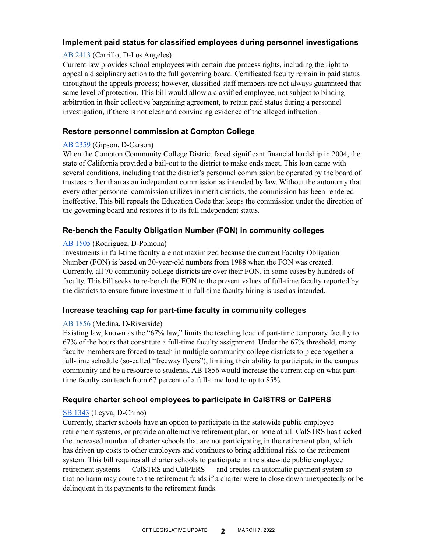# **Implement paid status for classified employees during personnel investigations**

## [AB 2413](https://leginfo.legislature.ca.gov/faces/billNavClient.xhtml?bill_id=202120220AB2413) (Carrillo, D-Los Angeles)

Current law provides school employees with certain due process rights, including the right to appeal a disciplinary action to the full governing board. Certificated faculty remain in paid status throughout the appeals process; however, classified staff members are not always guaranteed that same level of protection. This bill would allow a classified employee, not subject to binding arbitration in their collective bargaining agreement, to retain paid status during a personnel investigation, if there is not clear and convincing evidence of the alleged infraction.

## **Restore personnel commission at Compton College**

#### [AB 2359](https://leginfo.legislature.ca.gov/faces/billNavClient.xhtml?bill_id=202120220AB2359) (Gipson, D-Carson)

When the Compton Community College District faced significant financial hardship in 2004, the state of California provided a bail-out to the district to make ends meet. This loan came with several conditions, including that the district's personnel commission be operated by the board of trustees rather than as an independent commission as intended by law. Without the autonomy that every other personnel commission utilizes in merit districts, the commission has been rendered ineffective. This bill repeals the Education Code that keeps the commission under the direction of the governing board and restores it to its full independent status.

#### **Re-bench the Faculty Obligation Number (FON) in community colleges**

#### [AB 1505](https://leginfo.legislature.ca.gov/faces/billNavClient.xhtml?bill_id=202120220AB1505) (Rodriguez, D-Pomona)

Investments in full-time faculty are not maximized because the current Faculty Obligation Number (FON) is based on 30-year-old numbers from 1988 when the FON was created. Currently, all 70 community college districts are over their FON, in some cases by hundreds of faculty. This bill seeks to re-bench the FON to the present values of full-time faculty reported by the districts to ensure future investment in full-time faculty hiring is used as intended.

## **Increase teaching cap for part-time faculty in community colleges**

#### [AB 1856](https://leginfo.legislature.ca.gov/faces/billNavClient.xhtml?bill_id=202120220AB1856) (Medina, D-Riverside)

Existing law, known as the "67% law," limits the teaching load of part-time temporary faculty to 67% of the hours that constitute a full-time faculty assignment. Under the 67% threshold, many faculty members are forced to teach in multiple community college districts to piece together a full-time schedule (so-called "freeway flyers"), limiting their ability to participate in the campus community and be a resource to students. AB 1856 would increase the current cap on what parttime faculty can teach from 67 percent of a full-time load to up to 85%.

#### **Require charter school employees to participate in CalSTRS or CalPERS**

#### [SB 1343](https://leginfo.legislature.ca.gov/faces/billNavClient.xhtml?bill_id=202120220SB1343) (Leyva, D-Chino)

<span id="page-1-0"></span>Currently, charter schools have an option to participate in the statewide public employee retirement systems, or provide an alternative retirement plan, or none at all. CalSTRS has tracked the increased number of charter schools that are not participating in the retirement plan, which has driven up costs to other employers and continues to bring additional risk to the retirement system. This bill requires all charter schools to participate in the statewide public employee retirement systems — CalSTRS and CalPERS — and creates an automatic payment system so that no harm may come to the retirement funds if a charter were to close down unexpectedly or be delinquent in its payments to the retirement funds.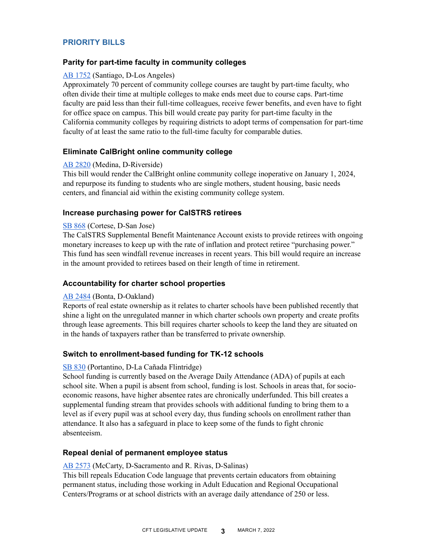# **PRIORITY BILLS**

## **Parity for part-time faculty in community colleges**

## [AB 1752](https://leginfo.legislature.ca.gov/faces/billNavClient.xhtml?bill_id=202120220AB1752) (Santiago, D-Los Angeles)

Approximately 70 percent of community college courses are taught by part-time faculty, who often divide their time at multiple colleges to make ends meet due to course caps. Part-time faculty are paid less than their full-time colleagues, receive fewer benefits, and even have to fight for office space on campus. This bill would create pay parity for part-time faculty in the California community colleges by requiring districts to adopt terms of compensation for part-time faculty of at least the same ratio to the full-time faculty for comparable duties.

## **Eliminate CalBright online community college**

## [AB 2820](https://leginfo.legislature.ca.gov/faces/billNavClient.xhtml?bill_id=202120220AB2820) (Medina, D-Riverside)

This bill would render the CalBright online community college inoperative on January 1, 2024, and repurpose its funding to students who are single mothers, student housing, basic needs centers, and financial aid within the existing community college system.

## **Increase purchasing power for CalSTRS retirees**

#### [SB 868](https://leginfo.legislature.ca.gov/faces/billNavClient.xhtml?bill_id=202120220SB868) (Cortese, D-San Jose)

The CalSTRS Supplemental Benefit Maintenance Account exists to provide retirees with ongoing monetary increases to keep up with the rate of inflation and protect retiree "purchasing power." This fund has seen windfall revenue increases in recent years. This bill would require an increase in the amount provided to retirees based on their length of time in retirement.

## **Accountability for charter school properties**

## [AB 2484](https://leginfo.legislature.ca.gov/faces/billNavClient.xhtml?bill_id=202120220AB2484) (Bonta, D-Oakland)

Reports of real estate ownership as it relates to charter schools have been published recently that shine a light on the unregulated manner in which charter schools own property and create profits through lease agreements. This bill requires charter schools to keep the land they are situated on in the hands of taxpayers rather than be transferred to private ownership.

## **Switch to enrollment-based funding for TK-12 schools**

#### [SB 830](https://leginfo.legislature.ca.gov/faces/billNavClient.xhtml?bill_id=202120220SB830) (Portantino, D-La Cañada Flintridge)

School funding is currently based on the Average Daily Attendance (ADA) of pupils at each school site. When a pupil is absent from school, funding is lost. Schools in areas that, for socioeconomic reasons, have higher absentee rates are chronically underfunded. This bill creates a supplemental funding stream that provides schools with additional funding to bring them to a level as if every pupil was at school every day, thus funding schools on enrollment rather than attendance. It also has a safeguard in place to keep some of the funds to fight chronic absenteeism.

## **Repeal denial of permanent employee status**

#### [AB 2573](https://leginfo.legislature.ca.gov/faces/billNavClient.xhtml?bill_id=202120220AB2573) (McCarty, D-Sacramento and R. Rivas, D-Salinas)

This bill repeals Education Code language that prevents certain educators from obtaining permanent status, including those working in Adult Education and Regional Occupational Centers/Programs or at school districts with an average daily attendance of 250 or less.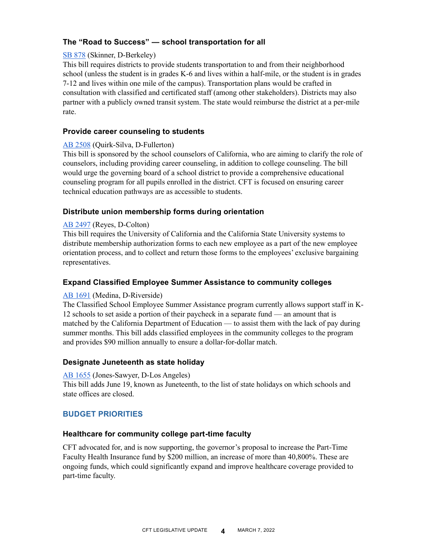# **The "Road to Success" — school transportation for all**

## [SB 878](https://leginfo.legislature.ca.gov/faces/billNavClient.xhtml?bill_id=202120220SB878) (Skinner, D-Berkeley)

This bill requires districts to provide students transportation to and from their neighborhood school (unless the student is in grades K-6 and lives within a half-mile, or the student is in grades 7-12 and lives within one mile of the campus). Transportation plans would be crafted in consultation with classified and certificated staff (among other stakeholders). Districts may also partner with a publicly owned transit system. The state would reimburse the district at a per-mile rate.

## **Provide career counseling to students**

#### [AB 2508](https://leginfo.legislature.ca.gov/faces/billNavClient.xhtml?bill_id=202120220AB2508) (Quirk-Silva, D-Fullerton)

This bill is sponsored by the school counselors of California, who are aiming to clarify the role of counselors, including providing career counseling, in addition to college counseling. The bill would urge the governing board of a school district to provide a comprehensive educational counseling program for all pupils enrolled in the district. CFT is focused on ensuring career technical education pathways are as accessible to students.

## **Distribute union membership forms during orientation**

#### [AB 2497](https://leginfo.legislature.ca.gov/faces/billNavClient.xhtml?bill_id=202120220AB2497) (Reyes, D-Colton)

This bill requires the University of California and the California State University systems to distribute membership authorization forms to each new employee as a part of the new employee orientation process, and to collect and return those forms to the employees' exclusive bargaining representatives.

## **Expand Classified Employee Summer Assistance to community colleges**

#### [AB 1691](https://leginfo.legislature.ca.gov/faces/billNavClient.xhtml?bill_id=202120220AB1691) (Medina, D-Riverside)

The Classified School Employee Summer Assistance program currently allows support staff in K-12 schools to set aside a portion of their paycheck in a separate fund — an amount that is matched by the California Department of Education — to assist them with the lack of pay during summer months. This bill adds classified employees in the community colleges to the program and provides \$90 million annually to ensure a dollar-for-dollar match.

#### **Designate Juneteenth as state holiday**

#### [AB 1655](https://leginfo.legislature.ca.gov/faces/billNavClient.xhtml?bill_id=202120220AB1655) (Jones-Sawyer, D-Los Angeles)

This bill adds June 19, known as Juneteenth, to the list of state holidays on which schools and state offices are closed.

## <span id="page-3-0"></span>**BUDGET PRIORITIES**

#### **Healthcare for community college part-time faculty**

CFT advocated for, and is now supporting, the governor's proposal to increase the Part-Time Faculty Health Insurance fund by \$200 million, an increase of more than 40,800%. These are ongoing funds, which could significantly expand and improve healthcare coverage provided to part-time faculty.